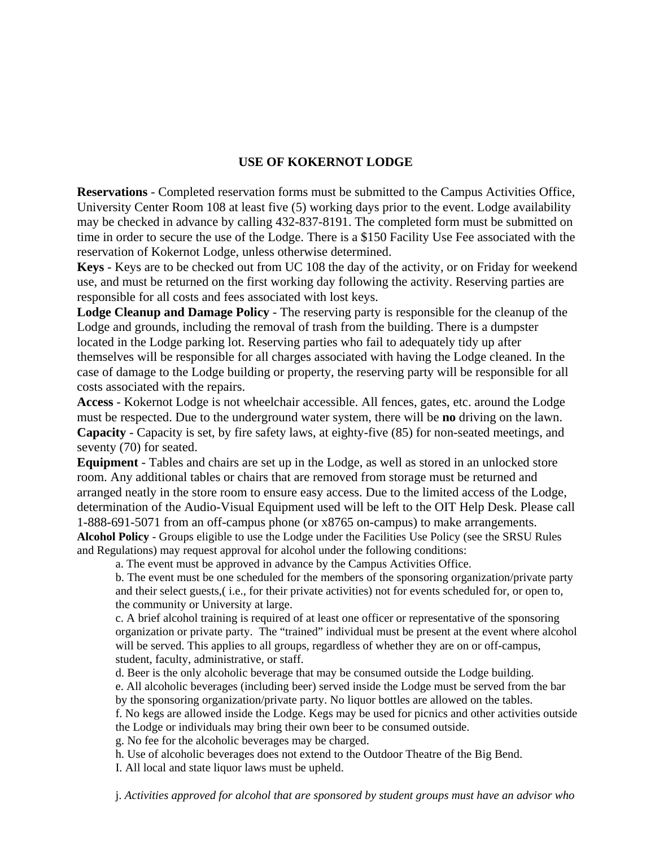## **USE OF KOKERNOT LODGE**

**Reservations** - Completed reservation forms must be submitted to the Campus Activities Office, University Center Room 108 at least five (5) working days prior to the event. Lodge availability may be checked in advance by calling 432-837-8191. The completed form must be submitted on time in order to secure the use of the Lodge. There is a \$150 Facility Use Fee associated with the reservation of Kokernot Lodge, unless otherwise determined.

**Keys** - Keys are to be checked out from UC 108 the day of the activity, or on Friday for weekend use, and must be returned on the first working day following the activity. Reserving parties are responsible for all costs and fees associated with lost keys.

**Lodge Cleanup and Damage Policy** - The reserving party is responsible for the cleanup of the Lodge and grounds, including the removal of trash from the building. There is a dumpster located in the Lodge parking lot. Reserving parties who fail to adequately tidy up after themselves will be responsible for all charges associated with having the Lodge cleaned. In the case of damage to the Lodge building or property, the reserving party will be responsible for all costs associated with the repairs.

**Access** - Kokernot Lodge is not wheelchair accessible. All fences, gates, etc. around the Lodge must be respected. Due to the underground water system, there will be **no** driving on the lawn. **Capacity** - Capacity is set, by fire safety laws, at eighty-five (85) for non-seated meetings, and seventy (70) for seated.

**Equipment** - Tables and chairs are set up in the Lodge, as well as stored in an unlocked store room. Any additional tables or chairs that are removed from storage must be returned and arranged neatly in the store room to ensure easy access. Due to the limited access of the Lodge, determination of the Audio-Visual Equipment used will be left to the OIT Help Desk. Please call 1-888-691-5071 from an off-campus phone (or x8765 on-campus) to make arrangements. **Alcohol Policy** - Groups eligible to use the Lodge under the Facilities Use Policy (see the SRSU Rules and Regulations) may request approval for alcohol under the following conditions:

a. The event must be approved in advance by the Campus Activities Office.

b. The event must be one scheduled for the members of the sponsoring organization/private party and their select guests,( i.e., for their private activities) not for events scheduled for, or open to, the community or University at large.

c. A brief alcohol training is required of at least one officer or representative of the sponsoring organization or private party. The "trained" individual must be present at the event where alcohol will be served. This applies to all groups, regardless of whether they are on or off-campus, student, faculty, administrative, or staff.

d. Beer is the only alcoholic beverage that may be consumed outside the Lodge building. e. All alcoholic beverages (including beer) served inside the Lodge must be served from the bar by the sponsoring organization/private party. No liquor bottles are allowed on the tables. f. No kegs are allowed inside the Lodge. Kegs may be used for picnics and other activities outside

the Lodge or individuals may bring their own beer to be consumed outside.

g. No fee for the alcoholic beverages may be charged.

h. Use of alcoholic beverages does not extend to the Outdoor Theatre of the Big Bend.

I. All local and state liquor laws must be upheld.

j. *Activities approved for alcohol that are sponsored by student groups must have an advisor who*